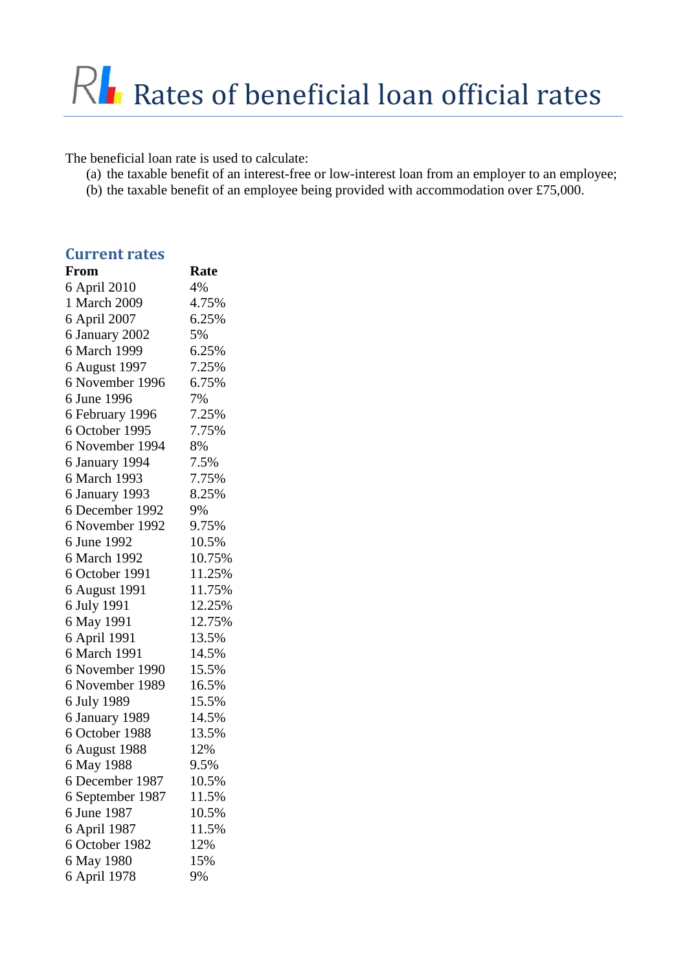The beneficial loan rate is used to calculate:

- (a) the taxable benefit of an interest-free or low-interest loan from an employer to an employee;
- (b) the taxable benefit of an employee being provided with accommodation over £75,000.

| <b>Current rates</b> |        |
|----------------------|--------|
| From                 | Rate   |
| 6 April 2010         | 4%     |
| 1 March 2009         | 4.75%  |
| 6 April 2007         | 6.25%  |
| 6 January 2002       | 5%     |
| 6 March 1999         | 6.25%  |
| 6 August 1997        | 7.25%  |
| 6 November 1996      | 6.75%  |
| 6 June 1996          | 7%     |
| 6 February 1996      | 7.25%  |
| 6 October 1995       | 7.75%  |
| 6 November 1994      | 8%     |
| 6 January 1994       | 7.5%   |
| 6 March 1993         | 7.75%  |
| 6 January 1993       | 8.25%  |
| 6 December 1992      | 9%     |
| 6 November 1992      | 9.75%  |
| 6 June 1992          | 10.5%  |
| 6 March 1992         | 10.75% |
| 6 October 1991       | 11.25% |
| 6 August 1991        | 11.75% |
| 6 July 1991          | 12.25% |
| 6 May 1991           | 12.75% |
| 6 April 1991         | 13.5%  |
| 6 March 1991         | 14.5%  |
| 6 November 1990      | 15.5%  |
| 6 November 1989      | 16.5%  |
| 6 July 1989          | 15.5%  |
| 6 January 1989       | 14.5%  |
| 6 October 1988       | 13.5%  |
| 6 August 1988        | 12%    |
| 6 May 1988           | 9.5%   |
| 6 December 1987      | 10.5%  |
| 6 September 1987     | 11.5%  |
| 6 June 1987          | 10.5%  |
| 6 April 1987         | 11.5%  |
| 6 October 1982       | 12%    |
| 6 May 1980           | 15%    |
| 6 April 1978         | 9%     |